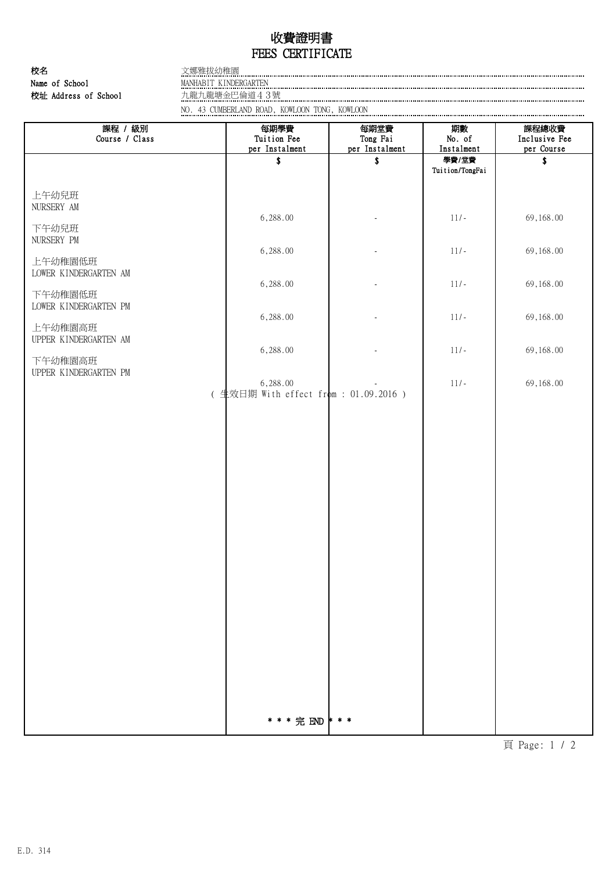## FEES CERTIFICATE 收費證明書

Name of School 校名 文娜雅拔幼稚園 校址 Address of School 九龍九龍塘金巴倫道43號

WANHABIT KINDERGARTEN

NO. 43 CUMBERLAND ROAD, KOWLOON TONG, KOWLOON

| 課程 / 級別<br>Course / Class                                                                                | 每期學費<br>Tuition Fee<br>per Instalment              | 每期堂費<br>Tong Fai<br>per Instalment | 期數<br>No. of<br>Instalment | 課程總收費<br>Inclusive Fee<br>per Course |
|----------------------------------------------------------------------------------------------------------|----------------------------------------------------|------------------------------------|----------------------------|--------------------------------------|
|                                                                                                          | \$                                                 | \$                                 | 學費/堂費<br>Tuition/TongFai   | Ŝ                                    |
| 上午幼兒班<br>NURSERY AM                                                                                      |                                                    |                                    |                            |                                      |
| 下午幼兒班<br>NURSERY PM                                                                                      | 6,288.00                                           |                                    | $11/-$                     | 69,168.00                            |
| 上午幼稚園低班                                                                                                  | 6,288.00                                           |                                    | $11/-$                     | 69,168.00                            |
| LOWER KINDERGARTEN AM<br>下午幼稚園低班<br>LOWER KINDERGARTEN PM<br>上午幼稚園高班<br>UPPER KINDERGARTEN AM<br>下午幼稚園高班 | 6,288.00                                           |                                    | $11/-$                     | 69,168.00                            |
|                                                                                                          | 6,288.00                                           |                                    | $11/-$                     | 69,168.00                            |
|                                                                                                          | 6,288.00                                           |                                    | $11/-$                     | 69,168.00                            |
| UPPER KINDERGARTEN PM                                                                                    | 6,288.00<br>( 生效日期 With effect from : 01.09.2016 ) |                                    | $11/-$                     | 69,168.00                            |
|                                                                                                          |                                                    |                                    |                            |                                      |
|                                                                                                          |                                                    |                                    |                            |                                      |
|                                                                                                          |                                                    |                                    |                            |                                      |
|                                                                                                          |                                                    |                                    |                            |                                      |
|                                                                                                          |                                                    |                                    |                            |                                      |
|                                                                                                          |                                                    |                                    |                            |                                      |
|                                                                                                          |                                                    |                                    |                            |                                      |
|                                                                                                          |                                                    |                                    |                            |                                      |
|                                                                                                          |                                                    |                                    |                            |                                      |
|                                                                                                          |                                                    |                                    |                            |                                      |
|                                                                                                          |                                                    |                                    |                            |                                      |

頁 Page: 1 / 2